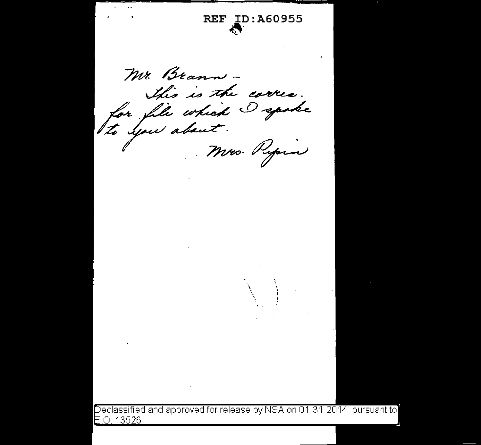**REF ID: A60955** Mr. Brann -This is the correct. for file which I spoke to you about. Mrs. Pypin Declassified and approved for release by NSA on 01-31-2014 pursuant to  $E.0.13526$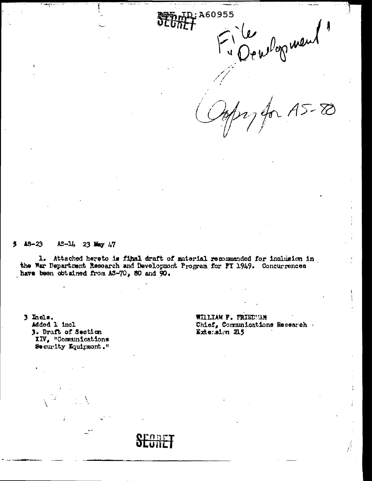elop went

 $\frac{1}{2}$ 

D: A60955

 $A5 - 80$ 

#### $13 - 23$  $A3 - 14$ , 23 May  $A7$

1. Attached hereto is final draft of material recommended for inclusion in the War Department Research and Development Program for FT 1949. Concurrences have been obtained from AS-70, 80 and 90.

3 Incls. Added 1 incl 3. Draft of Section XIV, "Communications Security Equipment." WILLIAM P. FRIEDMAN Chief, Communications Research Extension 215

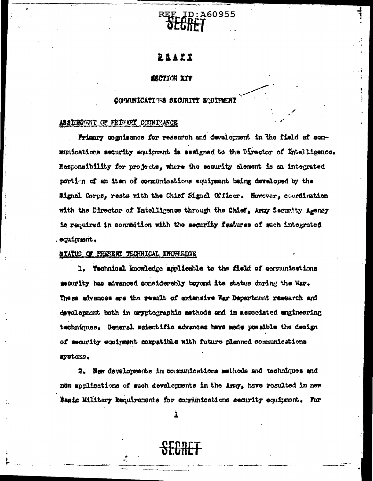

### **QRAZI**

#### **SRCTION IIV**

#### COMUNICATIONS SECURITY BOUIFMENT

#### ASSIONIGNT OF FRIUART COONIZARCE

Primary comizance for research and development in the field of sommunications security equipment is assigned to the Director of Intelligence. Responsibility for projects, where the security element is an integrated porti n of an item of communications equipment being developed by the Signal Corps, rests with the Chief Signal Officer. However, coordination with the Director of Intelligence through the Chief, Army Security Agency is required in connection with the security features of such integrated squimment.

#### **ATATUS OF PRESENT TECHNICAL KNOWLEDTE**

1. Technical knowledge applicable to the field of communications macerity has advanced considerably bayond its status during the War. These advances are the result of extensive War Department research and development both in eryptographic methods and in associated engineering techniques. General scientific advances have made possible the design of security equirement compatible with future planned communications ayatems.

2. New developments in communications methods and techniques and new applications of such developments in the Amp, have resulted in new Basic Military Requirements for communications security equipment. For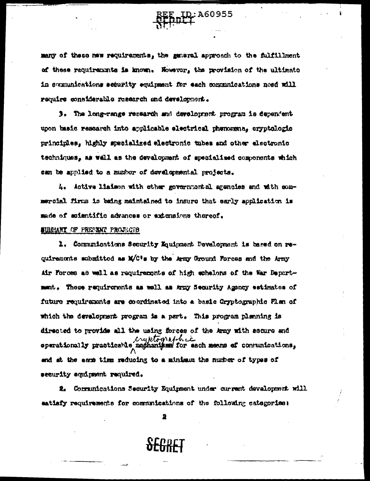many of these new requirements. the general approach to the fulfillment of these requirements is known. Nowever, the provision of the ultimate in segmunications security equipment for each communications need will require considerable research and development.

**1:A60955** 

3. The long-range research and development program is dependent upon basic research into applicable electrical phenomena, cryptologic principles, highly specialized electronic tubes and other electronic techniques, as well as the development of specialized components which san be applied to a number of developmental projects.

4. Active liaison with other governmental agencies and with sommercial firms is being maintained to insure that early application is made of scientific advances or extensions thereof.

#### SURRANY OF PRESENT PROJECTS

1. Communications Security Mauinment Development is based on requirements submitted as M/C's by the Army Ground Forces and the Army Air Forces as well as requirements of high echelons of the War Department. These requirements as well as Army Security Agency estimates of future requirements are coordinated into a basic Gryptographic Flan of which the development program is a part. This program plenning is directed to provide all the using forces of the Army with sscare and cryptographic end at the same time reducing to a minimum the number of types of security aquipment required.

2. Communications Security Equipment under current development will matisfy requirements for communications of the following categories:

2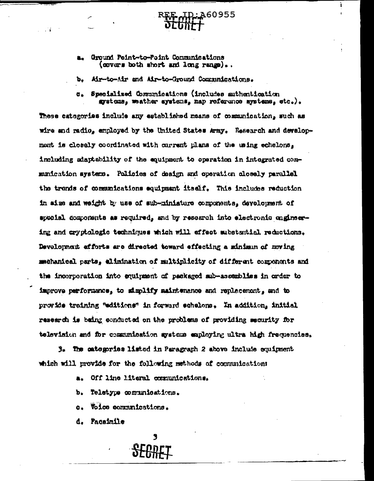Ground Point-to-Point Communications (covers both short and long range)..

 $\pm 1$ 

Air-to-Air and Air-to-Ground Communications. ъ.

Specialized Communications (includes authentication C. systems, mather systems, map reference systems, etc.).

160955

1

These categories incluie any established means of communication, such as wire and radio, employed by the United States Army. Research and developmont is closely coordinated with current plans of the using echelons, including adaptability of the equipment to operation in integrated communication systems. Policies of deaign and operation closely parallel the trends of communications equipment itself. This includes reduction in aims and weight by use of sub-miniature components, development of special components as required, and by resoarch into electronic onginesing and cryptologic techniques which will effect substantial reductions. Development efforts are directed toward effecting a minimum of moving mechanical parts, elimination of multiplicity of different components and the incorporation into equipment of packaged sub-assemblies in order to improve performance, to simplify maintenance and replacement, and to provide training "editione" in forward echelons. In addition, initial research is being conducted on the problems of providing security for television and for communication systems employing ultra high frequencies.

3. The categories listed in Paragraph 2 above include conigment which will provide for the following methods of communications

- Off line literal comunications. a.
- ъ. Teletype comunications.
- Voice communications. Ò.
- d. Pacsimile

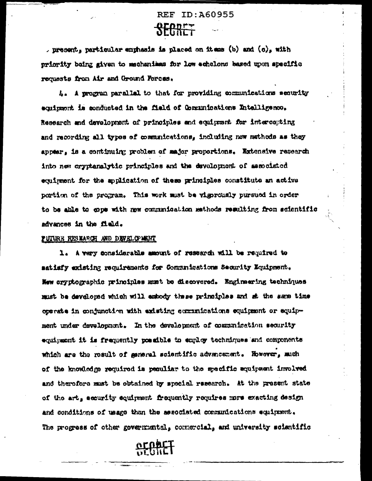# **REF ID: A60955**

, present, particular emphasis is placed on it ass (b) and  $(a)_s$  with priority being given to mechanisms for low echelons based upon specific requests from Air and Ground Forces.

A. A program parallel to that for providing communications security squipment is conducted in the field of Communications Intelligenco. Research and development of principles and equipment for intercompting and recording all types of communications, including now methods as they appear, is a continuing problem of major proportions. Extensive research into new crypteralytic principles and the development of associated equipment for the application of these principles constitute an active portion of the program. This work must be vigorously pursued in order to be able to gops with new communication methods resulting from exientific advances in the field.

#### FUTURE RESEARCH AND DEVELOPMENT

1. A vary considerable amount of research will be required to satisfy existing requirements for Communications Security Equipment. New cryptographic principles must be discovered. Engineering techniques must be developed which will embody these principles and st the same time corrate in conjunction with existing communications equipment or equipment under development. In the development of communication security equipment it is frequently possible to employ techniques and components which are the result of general scientific advencement. However, much of the knowledge required is pequitar to the specific equipment involved and therefore must be obtained by special research. At the present state of the art, security equipment frequently requires more exacting design and conditions of usage than the associated communications equipment. The progress of other governmental, commercial, and university scientific